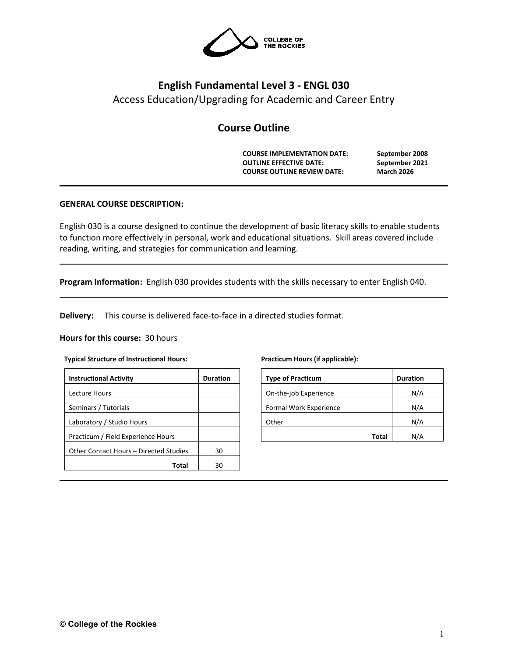

# **English Fundamental Level 3 - ENGL 030** Access Education/Upgrading for Academic and Career Entry

# **Course Outline**

**COURSE IMPLEMENTATION DATE: September 2008 OUTLINE EFFECTIVE DATE: September 2021 COURSE OUTLINE REVIEW DATE: March 2026**

## **GENERAL COURSE DESCRIPTION:**

English 030 is a course designed to continue the development of basic literacy skills to enable students to function more effectively in personal, work and educational situations. Skill areas covered include reading, writing, and strategies for communication and learning.

**Program Information:** English 030 provides students with the skills necessary to enter English 040.

**Delivery:** This course is delivered face-to-face in a directed studies format.

#### **Hours for this course:** 30 hours

#### **Typical Structure of Instructional Hours:**

| <b>Instructional Activity</b>          | <b>Duration</b> |
|----------------------------------------|-----------------|
| Lecture Hours                          |                 |
| Seminars / Tutorials                   |                 |
| Laboratory / Studio Hours              |                 |
| Practicum / Field Experience Hours     |                 |
| Other Contact Hours - Directed Studies | 30              |
| Total                                  | ٩N              |

#### **Practicum Hours (if applicable):**

| <b>Type of Practicum</b> | <b>Duration</b> |
|--------------------------|-----------------|
| On-the-job Experience    | N/A             |
| Formal Work Experience   | N/A             |
| Other                    | N/A             |
| Total                    |                 |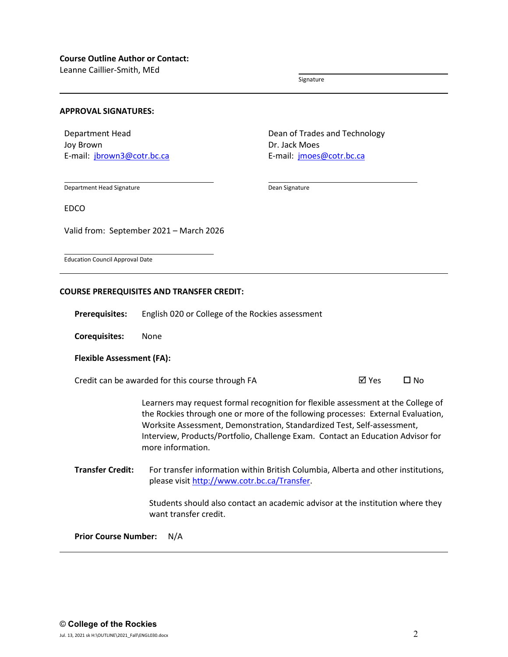Leanne Caillier-Smith, MEd

Signature

#### **APPROVAL SIGNATURES:**

Department Head Joy Brown E-mail: [jbrown3@cotr.bc.ca](mailto:jbrown3@cotr.bc.ca) Dean of Trades and Technology Dr. Jack Moes E-mail: [jmoes@cotr.bc.ca](mailto:jmoes@cotr.bc.ca)

Department Head Signature

Dean Signature

EDCO

Valid from: September 2021 – March 2026

Education Council Approval Date

#### **COURSE PREREQUISITES AND TRANSFER CREDIT:**

**Prerequisites:** English 020 or College of the Rockies assessment

**Corequisites:** None

#### **Flexible Assessment (FA):**

Credit can be awarded for this course through FA  $\boxtimes$  Yes  $\Box$  No

Learners may request formal recognition for flexible assessment at the College of the Rockies through one or more of the following processes: External Evaluation, Worksite Assessment, Demonstration, Standardized Test, Self-assessment, Interview, Products/Portfolio, Challenge Exam. Contact an Education Advisor for more information.

**Transfer Credit:** For transfer information within British Columbia, Alberta and other institutions, please visit [http://www.cotr.bc.ca/Transfer.](http://www.cotr.bc.ca/Transfer)

> Students should also contact an academic advisor at the institution where they want transfer credit.

**Prior Course Number:** N/A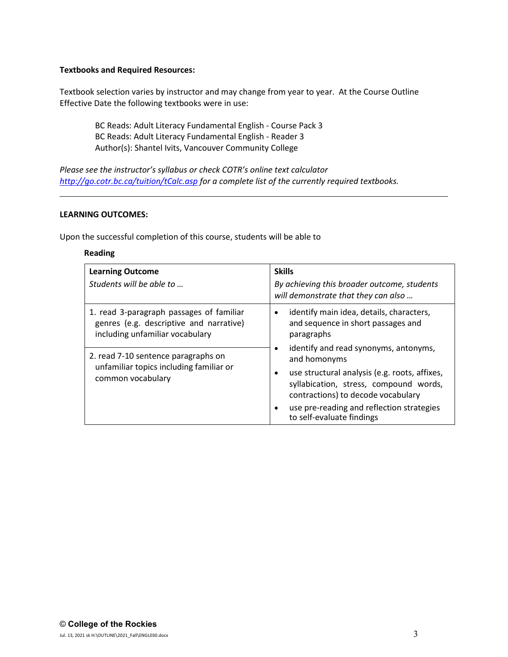### **Textbooks and Required Resources:**

Textbook selection varies by instructor and may change from year to year. At the Course Outline Effective Date the following textbooks were in use:

BC Reads: Adult Literacy Fundamental English - Course Pack 3 BC Reads: Adult Literacy Fundamental English - Reader 3 Author(s): Shantel Ivits, Vancouver Community College

*Please see the instructor's syllabus or check COTR's online text calculator <http://go.cotr.bc.ca/tuition/tCalc.asp> for a complete list of the currently required textbooks.*

#### **LEARNING OUTCOMES:**

Upon the successful completion of this course, students will be able to

## **Reading**

| <b>Learning Outcome</b><br>Students will be able to                                                                    | <b>Skills</b><br>By achieving this broader outcome, students<br>will demonstrate that they can also                                        |
|------------------------------------------------------------------------------------------------------------------------|--------------------------------------------------------------------------------------------------------------------------------------------|
| 1. read 3-paragraph passages of familiar<br>genres (e.g. descriptive and narrative)<br>including unfamiliar vocabulary | identify main idea, details, characters,<br>$\bullet$<br>and sequence in short passages and<br>paragraphs                                  |
| 2. read 7-10 sentence paragraphs on<br>unfamiliar topics including familiar or<br>common vocabulary                    | identify and read synonyms, antonyms,<br>and homonyms                                                                                      |
|                                                                                                                        | use structural analysis (e.g. roots, affixes,<br>$\bullet$<br>syllabication, stress, compound words,<br>contractions) to decode vocabulary |
|                                                                                                                        | use pre-reading and reflection strategies<br>to self-evaluate findings                                                                     |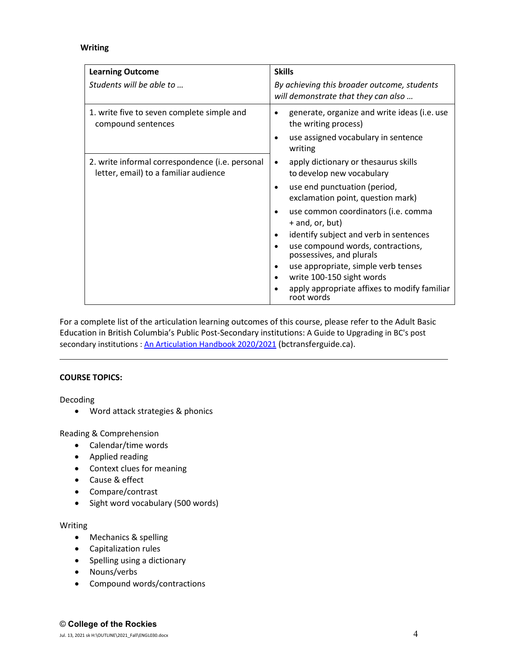## **Writing**

| <b>Learning Outcome</b>                                                                  | <b>Skills</b>                                                                      |
|------------------------------------------------------------------------------------------|------------------------------------------------------------------------------------|
| Students will be able to                                                                 | By achieving this broader outcome, students<br>will demonstrate that they can also |
| 1. write five to seven complete simple and<br>compound sentences                         | generate, organize and write ideas (i.e. use<br>the writing process)               |
|                                                                                          | use assigned vocabulary in sentence<br>writing                                     |
| 2. write informal correspondence (i.e. personal<br>letter, email) to a familiar audience | apply dictionary or thesaurus skills<br>$\bullet$<br>to develop new vocabulary     |
|                                                                                          | use end punctuation (period,<br>exclamation point, question mark)                  |
|                                                                                          | use common coordinators (i.e. comma<br>+ and, or, but)                             |
|                                                                                          | identify subject and verb in sentences                                             |
|                                                                                          | use compound words, contractions,<br>possessives, and plurals                      |
|                                                                                          | use appropriate, simple verb tenses                                                |
|                                                                                          | write 100-150 sight words                                                          |
|                                                                                          | apply appropriate affixes to modify familiar<br>root words                         |

For a complete list of the articulation learning outcomes of this course, please refer to the Adult Basic Education in British Columbia's Public Post-Secondary institutions: A Guide to Upgrading in BC's post secondary institutions : [An Articulation Handbook 2020/2021](https://www.bctransferguide.ca/docs/ABE2020.pdf) (bctransferguide.ca).

## **COURSE TOPICS:**

Decoding

• Word attack strategies & phonics

Reading & Comprehension

- Calendar/time words
- Applied reading
- Context clues for meaning
- Cause & effect
- Compare/contrast
- Sight word vocabulary (500 words)

#### Writing

- Mechanics & spelling
- Capitalization rules
- Spelling using a dictionary
- Nouns/verbs
- Compound words/contractions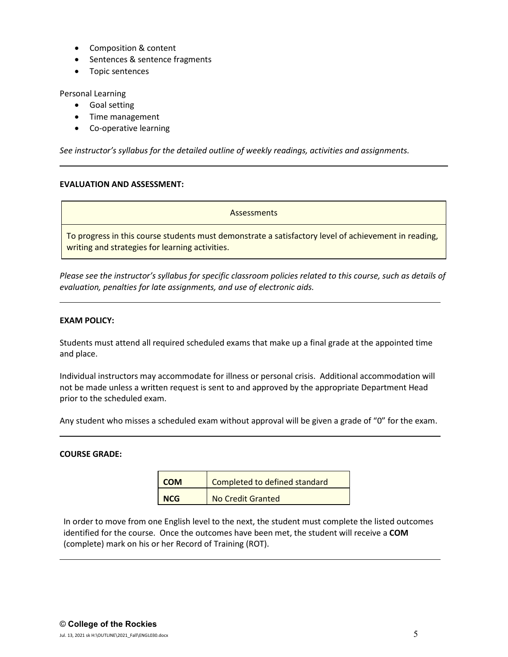- Composition & content
- Sentences & sentence fragments
- Topic sentences

Personal Learning

- Goal setting
- Time management
- Co-operative learning

*See instructor's syllabus for the detailed outline of weekly readings, activities and assignments.* 

## **EVALUATION AND ASSESSMENT:**

**Assessments** To progress in this course students must demonstrate a satisfactory level of achievement in reading, writing and strategies for learning activities.

*Please see the instructor's syllabus for specific classroom policies related to this course, such as details of evaluation, penalties for late assignments, and use of electronic aids.*

## **EXAM POLICY:**

Students must attend all required scheduled exams that make up a final grade at the appointed time and place.

Individual instructors may accommodate for illness or personal crisis. Additional accommodation will not be made unless a written request is sent to and approved by the appropriate Department Head prior to the scheduled exam.

Any student who misses a scheduled exam without approval will be given a grade of "0" for the exam.

#### **COURSE GRADE:**

| <b>COM</b> | Completed to defined standard |
|------------|-------------------------------|
| <b>NCG</b> | No Credit Granted             |

In order to move from one English level to the next, the student must complete the listed outcomes identified for the course. Once the outcomes have been met, the student will receive a **COM** (complete) mark on his or her Record of Training (ROT).